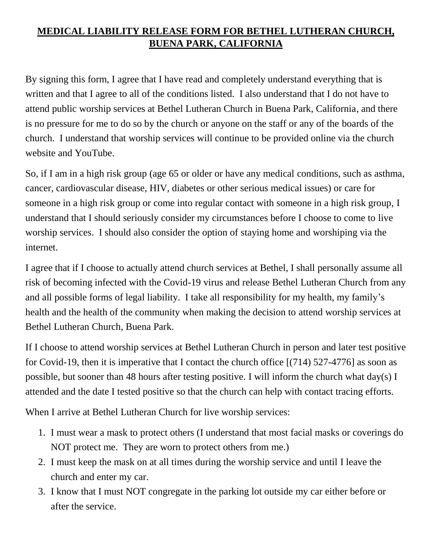## **MEDICAL LIABILITY RELEASE FORM FOR BETHEL LUTHERAN CHURCH, BUENA PARK, CALIFORNIA**

By signing this form, I agree that I have read and completely understand everything that is written and that I agree to all of the conditions listed. I also understand that I do not have to attend public worship services at Bethel Lutheran Church in Buena Park, California, and there is no pressure for me to do so by the church or anyone on the staff or any of the boards of the church. I understand that worship services will continue to be provided online via the church website and YouTube.

So, if I am in a high risk group (age 65 or older or have any medical conditions, such as asthma, cancer, cardiovascular disease, HIV, diabetes or other serious medical issues) or care for someone in a high risk group or come into regular contact with someone in a high risk group, I understand that I should seriously consider my circumstances before I choose to come to live worship services. I should also consider the option of staying home and worshiping via the internet.

I agree that if I choose to actually attend church services at Bethel, I shall personally assume all risk of becoming infected with the Covid-19 virus and release Bethel Lutheran Church from any and all possible forms of legal liability. I take all responsibility for my health, my family's health and the health of the community when making the decision to attend worship services at Bethel Lutheran Church, Buena Park.

If I choose to attend worship services at Bethel Lutheran Church in person and later test positive for Covid-19, then it is imperative that I contact the church office [(714) 527-4776] as soon as possible, but sooner than 48 hours after testing positive. I will inform the church what day(s) I attended and the date I tested positive so that the church can help with contact tracing efforts.

When I arrive at Bethel Lutheran Church for live worship services:

- 1. I must wear a mask to protect others (I understand that most facial masks or coverings do NOT protect me. They are worn to protect others from me.)
- 2. I must keep the mask on at all times during the worship service and until I leave the church and enter my car.
- 3. I know that I must NOT congregate in the parking lot outside my car either before or after the service.